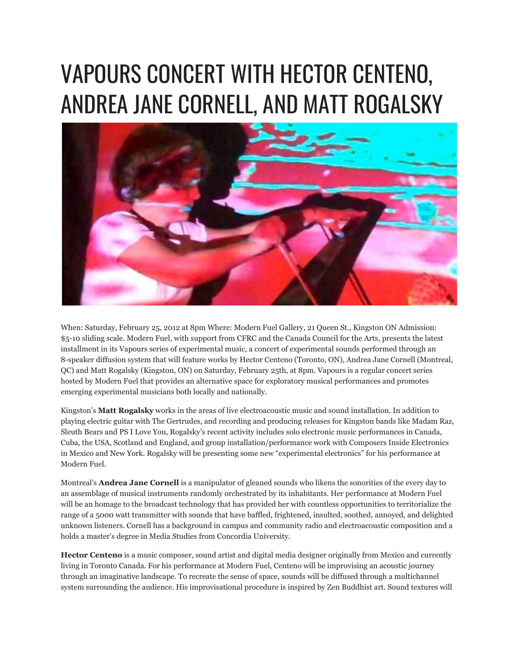## VAPOURS CONCERT WITH HECTOR CENTENO, ANDREA JANE CORNELL, AND MATT ROGALSKY



When: Saturday, February 25, 2012 at 8pm Where: Modern Fuel Gallery, 21 Queen St., Kingston ON Admission: \$5-10 sliding scale. Modern Fuel, with support from CFRC and the Canada Council for the Arts, presents the latest installment in its Vapours series of experimental music, a concert of experimental sounds performed through an 8-speaker diffusion system that will feature works by Hector Centeno (Toronto, ON), Andrea Jane Cornell (Montreal, QC) and Matt Rogalsky (Kingston, ON) on Saturday, February 25th, at 8pm. Vapours is a regular concert series hosted by Modern Fuel that provides an alternative space for exploratory musical performances and promotes emerging experimental musicians both locally and nationally.

Kingston's **Matt Rogalsky** works in the areas of live electroacoustic music and sound installation. In addition to playing electric guitar with The Gertrudes, and recording and producing releases for Kingston bands like Madam Raz, Sleuth Bears and PS I Love You, Rogalsky's recent activity includes solo electronic music performances in Canada, Cuba, the USA, Scotland and England, and group installation/performance work with Composers Inside Electronics in Mexico and New York. Rogalsky will be presenting some new "experimental electronics" for his performance at Modern Fuel.

Montreal's **Andrea Jane Cornell** is a manipulator of gleaned sounds who likens the sonorities of the every day to an assemblage of musical instruments randomly orchestrated by its inhabitants. Her performance at Modern Fuel will be an homage to the broadcast technology that has provided her with countless opportunities to territorialize the range of a 5000 watt transmitter with sounds that have baffled, frightened, insulted, soothed, annoyed, and delighted unknown listeners. Cornell has a background in campus and community radio and electroacoustic composition and a holds a master's degree in Media Studies from Concordia University.

**Hector Centeno** is a music composer, sound artist and digital media designer originally from Mexico and currently living in Toronto Canada. For his performance at Modern Fuel, Centeno will be improvising an acoustic journey through an imaginative landscape. To recreate the sense of space, sounds will be diffused through a multichannel system surrounding the audience. His improvisational procedure is inspired by Zen Buddhist art. Sound textures will